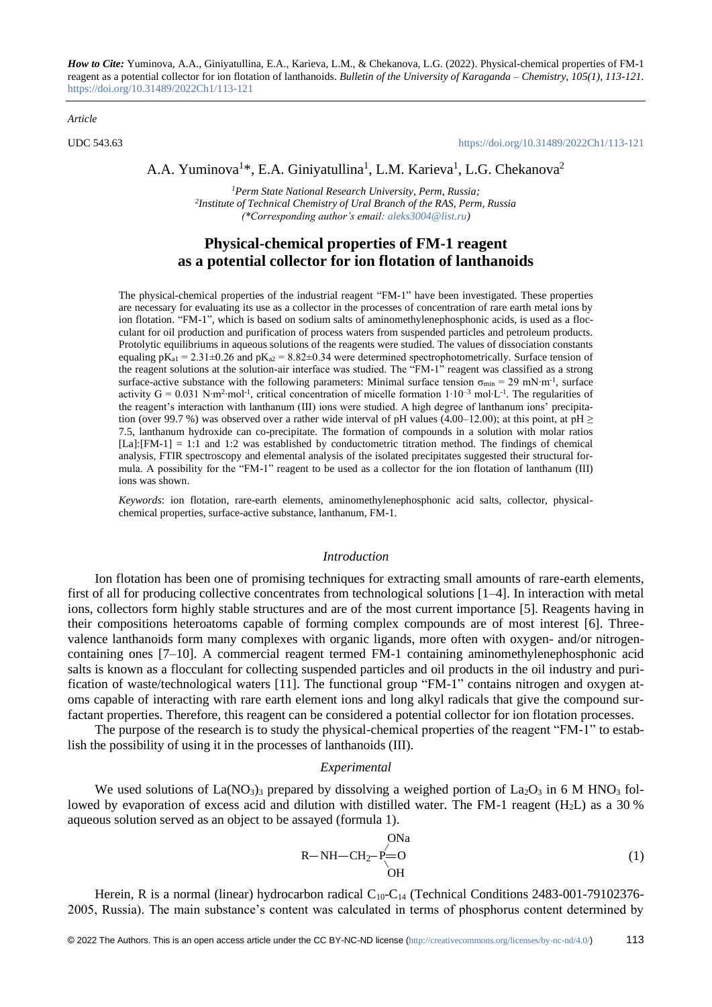*How to Cite:* Yuminova, A.A., Giniyatullina, E.A., Karieva, L.M., & Chekanova, L.G. (2022). Physical-chemical properties of FM-1 reagent as a potential collector for ion flotation of lanthanoids. *Bulletin of the University of Karaganda – Chemistry, 105(1), 113-121.*  <https://doi.org/10.31489/2022Ch1/113-121>

*Article*

UDC 543.63 <https://doi.org/10.31489/2022Ch1/113-121>

# A.A. Yuminova<sup>1\*</sup>, E.A. Giniyatullina<sup>1</sup>, L.M. Karieva<sup>1</sup>, L.G. Chekanova<sup>2</sup>

*<sup>1</sup>Perm State National Research University, Perm, Russia; 2 Institute of Technical Chemistry of Ural Branch of the RAS, Perm, Russia (\*Corresponding author's email[: aleks3004@list.ru\)](mailto:aleks3004@list.ru)*

# **Physical-chemical properties of FM-1 reagent as a potential collector for ion flotation of lanthanoids**

The physical-chemical properties of the industrial reagent "FM-1" have been investigated. These properties are necessary for evaluating its use as a collector in the processes of concentration of rare earth metal ions by ion flotation. "FM-1", which is based on sodium salts of aminomethylenephosphonic acids, is used as a flocculant for oil production and purification of process waters from suspended particles and petroleum products. Protolytic equilibriums in aqueous solutions of the reagents were studied. The values of dissociation constants equaling  $pK_{a1} = 2.31 \pm 0.26$  and  $pK_{a2} = 8.82 \pm 0.34$  were determined spectrophotometrically. Surface tension of the reagent solutions at the solution-air interface was studied. The "FM-1" reagent was classified as a strong surface-active substance with the following parameters: Minimal surface tension  $\sigma_{\min} = 29 \text{ mN·m}^{-1}$ , surface activity  $G = 0.031$  N⋅m<sup>2</sup>⋅mol⋅<sup>1</sup>, critical concentration of micelle formation  $1 \cdot 10^{-3}$  mol⋅L⋅<sup>1</sup>. The regularities of the reagent's interaction with lanthanum (III) ions were studied. A high degree of lanthanum ions' precipitation (over 99.7 %) was observed over a rather wide interval of pH values (4.00–12.00); at this point, at pH  $\geq$ 7.5, lanthanum hydroxide can co-precipitate. The formation of compounds in a solution with molar ratios  $[La]:[FM-1] = 1:1$  and 1:2 was established by conductometric titration method. The findings of chemical analysis, FTIR spectroscopy and elemental analysis of the isolated precipitates suggested their structural formula. A possibility for the "FM-1" reagent to be used as a collector for the ion flotation of lanthanum (III) ions was shown.

*Keywords*: ion flotation, rare-earth elements, aminomethylenephosphonic acid salts, collector, physicalchemical properties, surface-active substance, lanthanum, FM-1.

## *Introduction*

Ion flotation has been one of promising techniques for extracting small amounts of rare-earth elements, first of all for producing collective concentrates from technological solutions [1–4]. In interaction with metal ions, collectors form highly stable structures and are of the most current importance [5]. Reagents having in their compositions heteroatoms capable of forming complex compounds are of most interest [6]. Threevalence lanthanoids form many complexes with organic ligands, more often with oxygen- and/or nitrogencontaining ones [7–10]. A commercial reagent termed FM-1 containing aminomethylenephosphonic acid salts is known as a flocculant for collecting suspended particles and oil products in the oil industry and purification of waste/technological waters [11]. The functional group "FM-1" contains nitrogen and oxygen atoms capable of interacting with rare earth element ions and long alkyl radicals that give the compound surfactant properties. Therefore, this reagent can be considered a potential collector for ion flotation processes.

The purpose of the research is to study the physical-chemical properties of the reagent "FM-1" to establish the possibility of using it in the processes of lanthanoids (III).

## *Experimental*

We used solutions of  $La(NO<sub>3</sub>)<sub>3</sub>$  prepared by dissolving a weighed portion of  $La<sub>2</sub>O<sub>3</sub>$  in 6 M HNO<sub>3</sub> followed by evaporation of excess acid and dilution with distilled water. The FM-1 reagent  $(H<sub>2</sub>L)$  as a 30 % aqueous solution served as an object to be assayed (formula 1).

$$
R-NH-CH_2-P=O
$$
\n
$$
OH
$$
\n(1)

Herein, R is a normal (linear) hydrocarbon radical C<sub>10</sub>-C<sub>14</sub> (Technical Conditions 2483-001-79102376-2005, Russia). The main substance's content was calculated in terms of phosphorus content determined by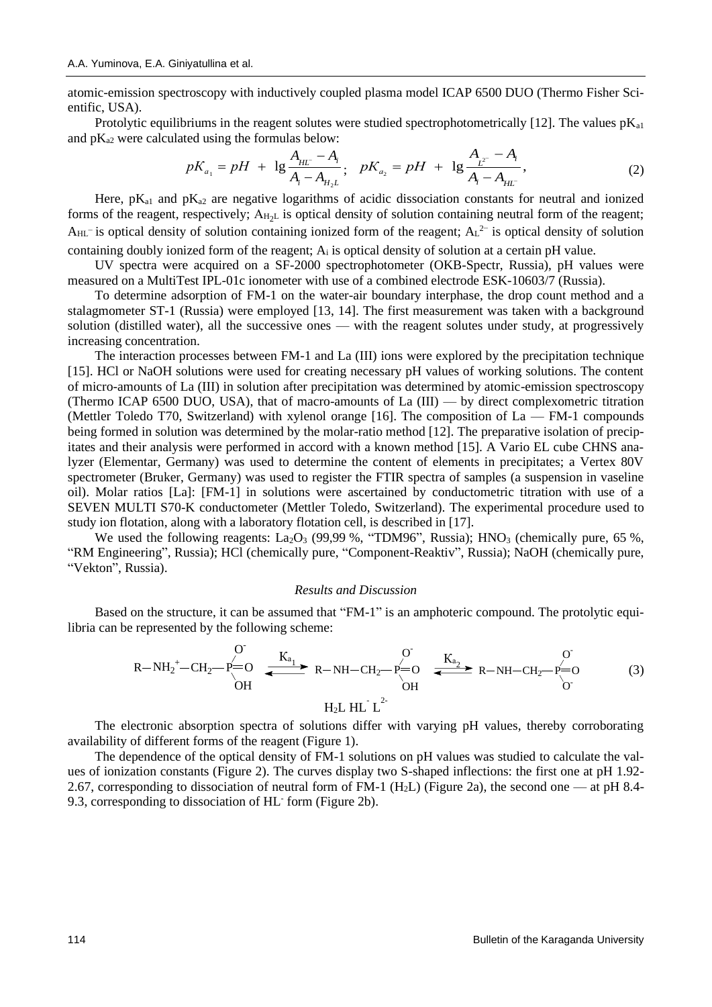atomic-emission spectroscopy with inductively coupled plasma model ICAP 6500 DUO (Thermo Fisher Scientific, USA).

Protolytic equilibriums in the reagent solutes were studied spectrophotometrically [12]. The values  $pK_{a1}$ and pK<sub>a2</sub> were calculated using the formulas below:<br> $\frac{A_{HL} - A_i}{A_{HL} - A_i}$ 

ted using the formulas below:  
\n
$$
pK_{a_1} = pH + \lg \frac{A_{H\!L} - A_i}{A_i - A_{H_2L}}
$$
;  $pK_{a_2} = pH + \lg \frac{A_{L^2} - A_i}{A_i - A_{H\!L}}$ , (2)

Here,  $pK_{a1}$  and  $pK_{a2}$  are negative logarithms of acidic dissociation constants for neutral and ionized forms of the reagent, respectively;  $A_{H_2L}$  is optical density of solution containing neutral form of the reagent;  $A_{HL}$  is optical density of solution containing ionized form of the reagent;  $A_L^2$  is optical density of solution containing doubly ionized form of the reagent; A<sup>i</sup> is optical density of solution at a certain pH value.

UV spectra were acquired on a SF-2000 spectrophotometer (OKB-Spectr, Russia), pH values were measured on a MultiTest IPL-01c ionometer with use of a combined electrode ESK-10603/7 (Russia).

To determine adsorption of FM-1 on the water-air boundary interphase, the drop count method and a stalagmometer ST-1 (Russia) were employed [13, 14]. The first measurement was taken with a background solution (distilled water), all the successive ones — with the reagent solutes under study, at progressively increasing concentration.

The interaction processes between FM-1 and La (III) ions were explored by the precipitation technique [15]. HCl or NaOH solutions were used for creating necessary pH values of working solutions. The content of micro-amounts of La (III) in solution after precipitation was determined by atomic-emission spectroscopy (Thermo ICAP 6500 DUO, USA), that of macro-amounts of La (III) — by direct complexometric titration (Mettler Toledo T70, Switzerland) with xylenol orange [16]. The composition of  $La$  — FM-1 compounds being formed in solution was determined by the molar-ratio method [12]. The preparative isolation of precipitates and their analysis were performed in accord with a known method [15]. A Vario EL cube CHNS analyzer (Elementar, Germany) was used to determine the content of elements in precipitates; a Vertex 80V spectrometer (Bruker, Germany) was used to register the FTIR spectra of samples (a suspension in vaseline oil). Molar ratios [La]: [FM-1] in solutions were ascertained by conductometric titration with use of a SEVEN MULTI S70-K conductometer (Mettler Toledo, Switzerland). The experimental procedure used to study ion flotation, along with a laboratory flotation cell, is described in [17].

We used the following reagents:  $La_2O_3$  (99,99 %, "TDM96", Russia); HNO<sub>3</sub> (chemically pure, 65 %, "RM Engineering", Russia); HCl (chemically pure, "Component-Reaktiv", Russia); NaOH (chemically pure, "Vekton", Russia).

#### *Results and Discussion*

Based on the structure, it can be assumed that "FM-1" is an amphoteric compound. The protolytic equilibria can be represented by the following scheme:

$$
R - NH_2^+ - CH_2^- \xrightarrow{P=O}^{O} \xrightarrow{K_{a_1}} R - NH - CH_2^- \xrightarrow{P=O}^{O} \xrightarrow{K_{a_2}} R - NH - CH_2^- \xrightarrow{O}^{O}^{O} \xrightarrow{O}
$$
\n
$$
H_2L HL^2
$$
\n(3)

The electronic absorption spectra of solutions differ with varying pH values, thereby corroborating availability of different forms of the reagent (Figure 1).

The dependence of the optical density of FM-1 solutions on pH values was studied to calculate the values of ionization constants (Figure 2). The curves display two S-shaped inflections: the first one at pH 1.92- 2.67, corresponding to dissociation of neutral form of FM-1 (H<sub>2</sub>L) (Figure 2a), the second one — at pH 8.4-9.3, corresponding to dissociation of HL form (Figure 2b).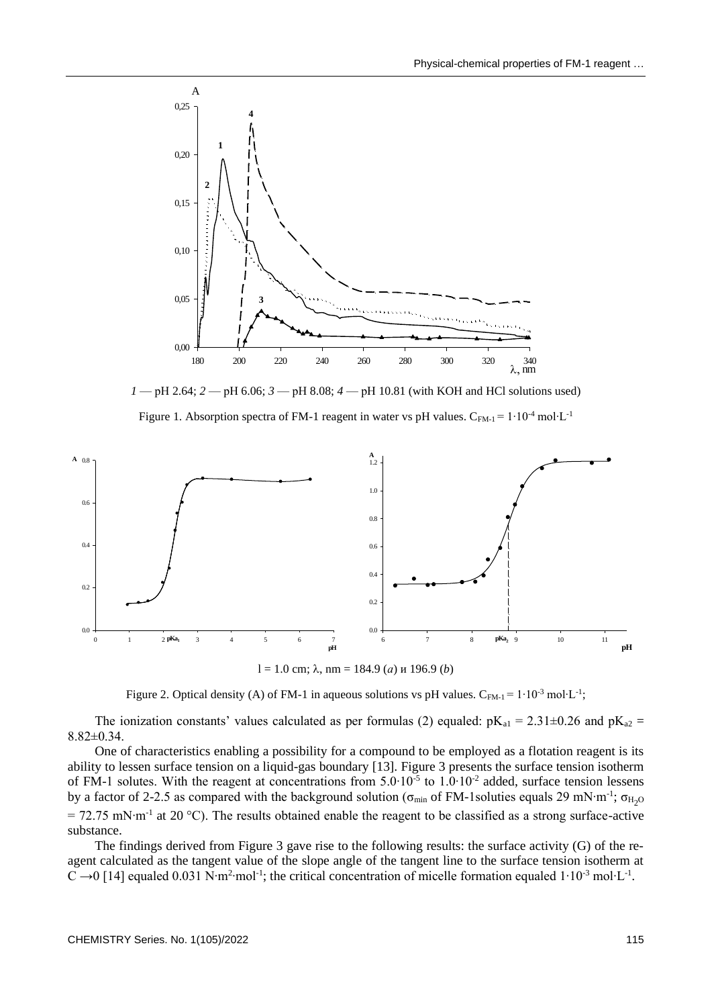

*1* — рН 2.64; *2* — рН 6.06; *3* — рН 8.08; *4* — рН 10.81 (with KOH and HCl solutions used)

Figure 1. Absorption spectra of FM-1 reagent in water vs pH values. C<sub>FM-1</sub> =  $1 \cdot 10^{-4}$  mol⋅L<sup>-1</sup>



 $l = 1.0$  cm;  $\lambda$ , nm = 184.9 (*a*) и 196.9 (*b*)

Figure 2. Optical density (A) of FM-1 in aqueous solutions vs pH values. C<sub>FM-1</sub> = 1⋅10<sup>-3</sup> mol⋅L<sup>-1</sup>;

The ionization constants' values calculated as per formulas (2) equaled:  $pK_{al} = 2.31 \pm 0.26$  and  $pK_{a2} =$ 8.82±0.34.

One of characteristics enabling a possibility for a compound to be employed as a flotation reagent is its ability to lessen surface tension on a liquid-gas boundary [13]. Figure 3 presents the surface tension isotherm of FM-1 solutes. With the reagent at concentrations from 5.0⋅10<sup>-5</sup> to 1.0⋅10<sup>-2</sup> added, surface tension lessens by a factor of 2-2.5 as compared with the background solution ( $\sigma_{min}$  of FM-1soluties equals 29 mN⋅m<sup>-1</sup>;  $\sigma_{H_2O}$ = 72.75 mN⋅m<sup>-1</sup> at 20 °C). The results obtained enable the reagent to be classified as a strong surface-active substance.

The findings derived from Figure 3 gave rise to the following results: the surface activity (G) of the reagent calculated as the tangent value of the slope angle of the tangent line to the surface tension isotherm at C →0 [14] equaled 0.031 N⋅m<sup>2</sup>⋅mol<sup>-1</sup>; the critical concentration of micelle formation equaled 1⋅10<sup>-3</sup> mol⋅L<sup>-1</sup>.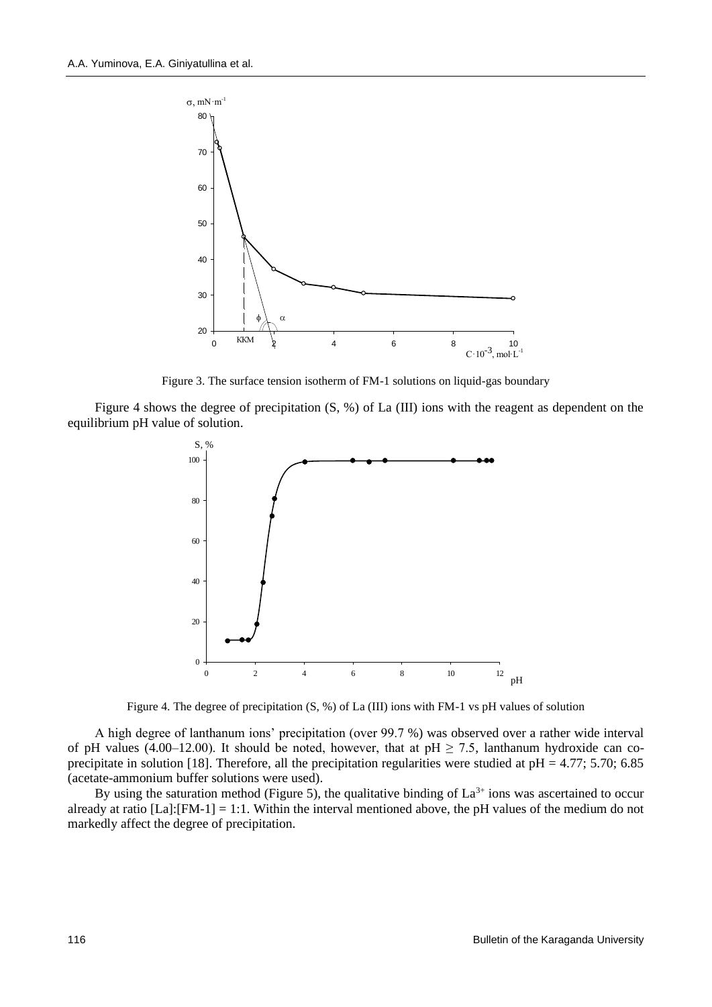

Figure 3. The surface tension isotherm of FM-1 solutions on liquid-gas boundary

Figure 4 shows the degree of precipitation (S, %) of La (III) ions with the reagent as dependent on the equilibrium pH value of solution.



Figure 4. The degree of precipitation (S, %) of La (III) ions with FM-1 vs pH values of solution

A high degree of lanthanum ions' precipitation (over 99.7 %) was observed over a rather wide interval of pH values (4.00–12.00). It should be noted, however, that at pH  $\geq$  7.5, lanthanum hydroxide can coprecipitate in solution [18]. Therefore, all the precipitation regularities were studied at  $pH = 4.77$ ; 5.70; 6.85 (acetate-ammonium buffer solutions were used).

By using the saturation method (Figure 5), the qualitative binding of  $La^{3+}$  ions was ascertained to occur already at ratio [La]:[FM-1] = 1:1. Within the interval mentioned above, the pH values of the medium do not markedly affect the degree of precipitation.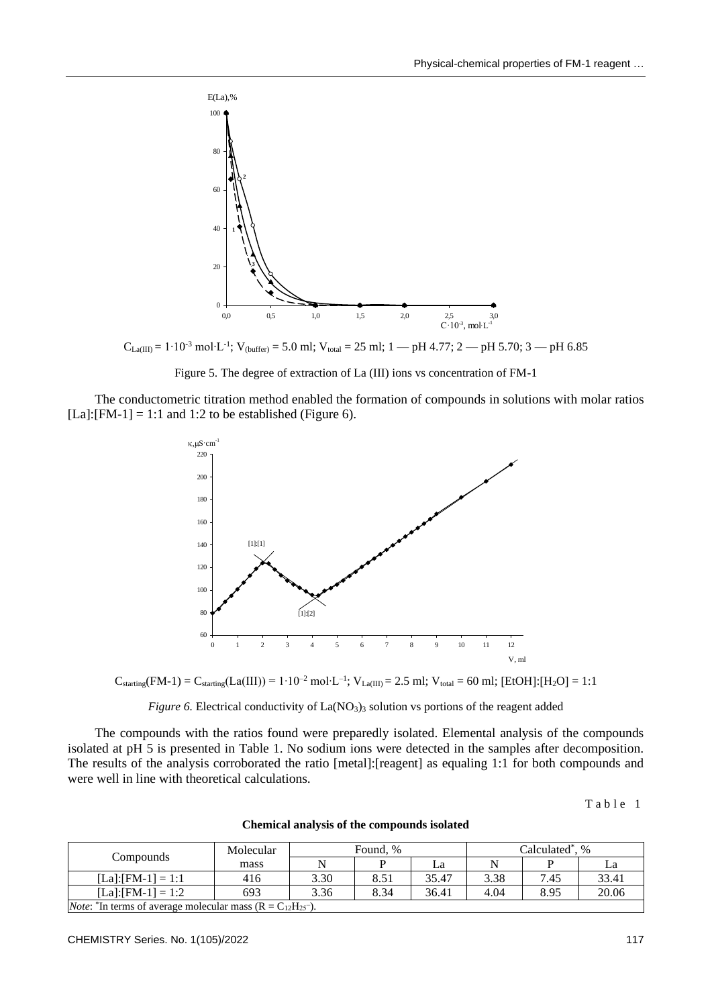

 $C_{\text{La(III)}} = 1 \cdot 10^{-3} \text{ mol} \cdot L^{-1}$ ; V<sub>(buffer)</sub> = 5.0 ml; V<sub>total</sub> = 25 ml; 1 — pH 4.77; 2 — pH 5.70; 3 — pH 6.85

Figure 5. The degree of extraction of La (III) ions vs concentration of FM-1

The conductometric titration method enabled the formation of compounds in solutions with molar ratios  $[La]:[FM-1] = 1:1$  and 1:2 to be established (Figure 6).



 $C_{\text{starting}}(FM-1) = C_{\text{starting}}(La(III)) = 1 \cdot 10^{-2} \text{ mol} \cdot L^{-1}; \ V_{\text{La(III)}} = 2.5 \text{ ml}; \ V_{\text{total}} = 60 \text{ ml}; \ [EtOH]: [H_2O] = 1:10^{-2} \text{ mol} \cdot L^{-1}; \ V_{\text{La(III)}} = 2.5 \text{ ml}; \ [EtOH]: [H_2O] = 1:10^{-2} \text{ mol} \cdot L^{-1}; \ V_{\text{La(III)}} = 2.5 \text{ ml}; \ [AtOH]: [H_2O] = 1:10^{-2} \text{ mol} \cdot L^{-1}; \ V_{$ 



The compounds with the ratios found were preparedly isolated. Elemental analysis of the compounds isolated at pH 5 is presented in Table 1. No sodium ions were detected in the samples after decomposition. The results of the analysis corroborated the ratio [metal]:[reagent] as equaling 1:1 for both compounds and were well in line with theoretical calculations.

Table 1

**Chemical analysis of the compounds isolated**

|                                                                                           | Molecular | Found, % |      |       | Calculated <sup>*</sup> .<br>$\%$ |      |       |  |
|-------------------------------------------------------------------------------------------|-----------|----------|------|-------|-----------------------------------|------|-------|--|
| Compounds                                                                                 | mass      |          |      | La    |                                   |      |       |  |
| $[La]:[FM-1]=1:1$                                                                         | 416       | 3.30     | 8.51 | 35.47 | 3.38                              | 7.45 | 33.41 |  |
| $[La]: [FM-1] = 1:2$                                                                      | 693       | 3.36     | 8.34 | 36.41 | 4.04                              | 8.95 | 20.06 |  |
| <i>Note</i> : <sup>*</sup> In terms of average molecular mass ( $R = C_{12}H_{25}^{-}$ ). |           |          |      |       |                                   |      |       |  |

CHEMISTRY Series. No. 1(105)/2022 117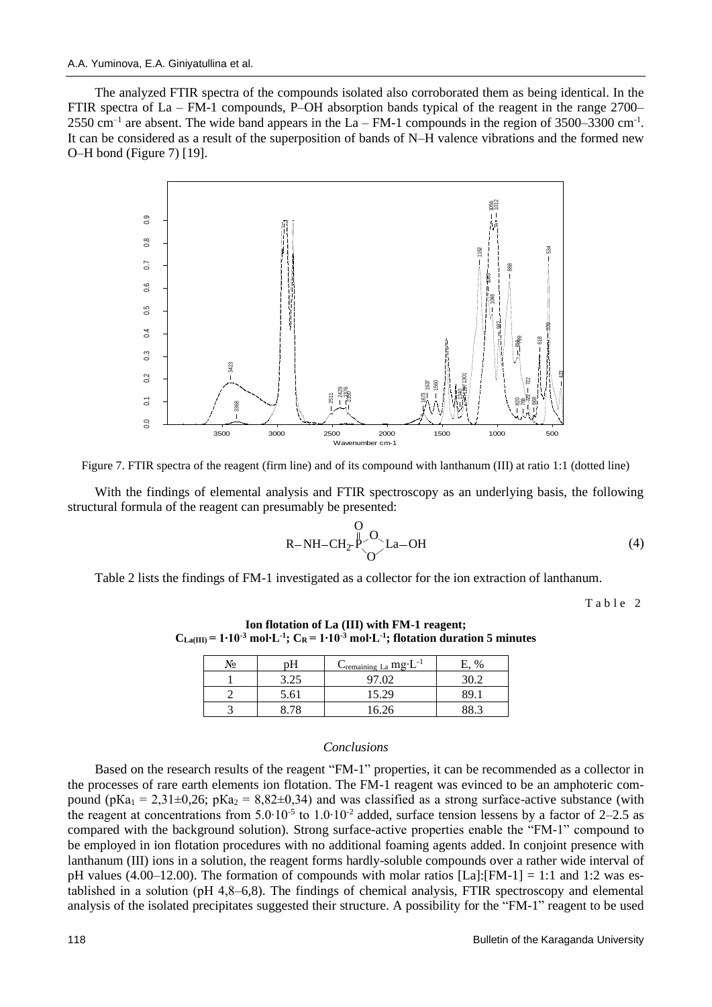The analyzed FTIR spectra of the compounds isolated also corroborated them as being identical. In the FTIR spectra of La – FM-1 compounds, P–OH absorption bands typical of the reagent in the range 2700–  $2550 \text{ cm}^{-1}$  are absent. The wide band appears in the La – FM-1 compounds in the region of 3500–3300 cm<sup>-1</sup>. It can be considered as a result of the superposition of bands of N–H valence vibrations and the formed new O–H bond (Figure 7) [19].





With the findings of elemental analysis and FTIR spectroscopy as an underlying basis, the following structural formula of the reagent can presumably be presented:

$$
R-NH-CH_2 \overset{O}{P} \underset{O}{\overset{O}{\sim}} La-OH
$$
\n(4)

Table 2 lists the findings of FM-1 investigated as a collector for the ion extraction of lanthanum.

Table 2

| Νջ |      | $C_{\text{remaining La}}$ mg·L <sup>-1</sup> | E. % |
|----|------|----------------------------------------------|------|
|    | 3.25 | 97.02                                        | 30.2 |
|    | 5.61 | 15.29                                        | 89   |
|    | 8 78 | 16.26                                        |      |

**Ion flotation of La (III) with FM-1 reagent;**   $C_{\text{La(III)}} = 1 \cdot 10^{-3} \text{ mol} \cdot \text{L}^{-1}$ ;  $C_{\text{R}} = 1 \cdot 10^{-3} \text{ mol} \cdot \text{L}^{-1}$ ; flotation duration 5 minutes

#### *Conclusions*

Based on the research results of the reagent "FM-1" properties, it can be recommended as a collector in the processes of rare earth elements ion flotation. The FM-1 reagent was evinced to be an amphoteric compound (pKa<sub>1</sub> = 2,31 $\pm$ 0,26; pKa<sub>2</sub> = 8,82 $\pm$ 0,34) and was classified as a strong surface-active substance (with the reagent at concentrations from  $5.0 \cdot 10^{-5}$  to  $1.0 \cdot 10^{-2}$  added, surface tension lessens by a factor of 2–2.5 as compared with the background solution). Strong surface-active properties enable the "FM-1" compound to be employed in ion flotation procedures with no additional foaming agents added. In conjoint presence with lanthanum (III) ions in a solution, the reagent forms hardly-soluble compounds over a rather wide interval of pH values (4.00–12.00). The formation of compounds with molar ratios  $[La]:[FM-1] = 1:1$  and 1:2 was established in a solution (рН 4,8–6,8). The findings of chemical analysis, FTIR spectroscopy and elemental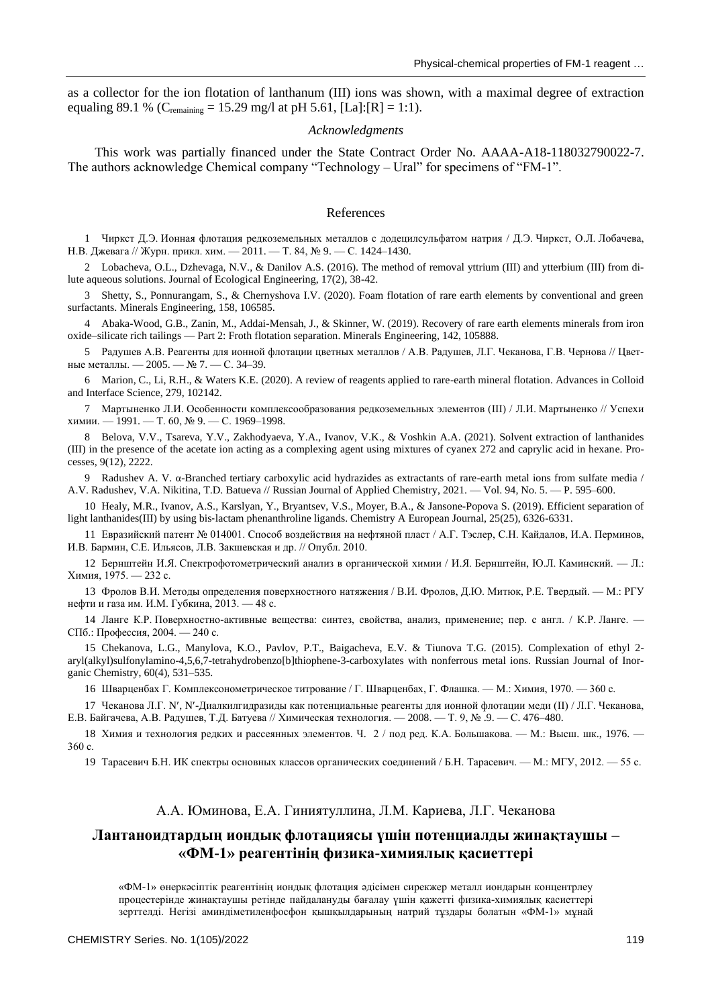as a collector for the ion flotation of lanthanum (III) ions was shown, with a maximal degree of extraction equaling 89.1 % (C<sub>remaining</sub> = 15.29 mg/l at pH 5.61, [La]:[R] = 1:1).

## *Acknowledgments*

This work was partially financed under the State Contract Order No. AAAA-A18-118032790022-7. The authors acknowledge Chemical company "Technology – Ural" for specimens of "FM-1".

#### References

1 Чиркст Д.Э. Ионная флотация редкоземельных металлов с додецилсульфатом натрия / Д.Э. Чиркст, О.Л. Лобачева, Н.В. Джевага // Журн. прикл. хим. — 2011. — Т. 84, № 9. — С. 1424–1430.

2 Lobacheva, O.L., Dzhevaga, N.V., & Danilov A.S. (2016). The method of removal yttrium (III) and ytterbium (III) from dilute aqueous solutions. Journal of Ecological Engineering, 17(2), 38-42.

3 Shetty, S., Ponnurangam, S., & Chernyshova I.V. (2020). Foam flotation of rare earth elements by conventional and green surfactants. Minerals Engineering, 158, 106585.

4 Abaka-Wood, G.B., Zanin, M., Addai-Mensah, J., & Skinner, W. (2019). Recovery of rare earth elements minerals from iron oxide–silicate rich tailings — Part 2: Froth flotation separation. Minerals Engineering, 142, 105888.

5 Радушев А.В. Реагенты для ионной флотации цветных металлов / А.В. Радушев, Л.Г. Чеканова, Г.В. Чернова // Цветные металлы. — 2005. — № 7. — С. 34–39.

6 Marion, C., Li, R.H., & Waters K.E. (2020). A review of reagents applied to rare-earth mineral flotation. Advances in Colloid and Interface Science, 279, 102142.

7 Мартыненко Л.И. Особенности комплексообразования редкоземельных элементов (III) / Л.И. Мартыненко // Успехи химии. — 1991. — Т. 60, № 9. — С. 1969–1998.

8 Belova, V.V., Tsareva, Y.V., Zakhodyaeva, Y.A., Ivanov, V.K., & Voshkin A.A. (2021). Solvent extraction of lanthanides (III) in the presence of the acetate ion acting as a complexing agent using mixtures of cyanex 272 and caprylic acid in hexane. Processes, 9(12), 2222.

9 Radushev A. V. α-Branched tertiary carboxylic acid hydrazides as extractants of rare-earth metal ions from sulfate media / A.V. Radushev, V.A. Nikitina, T.D. Batueva // Russian Journal of Applied Chemistry, 2021. — Vol. 94, No. 5. — P. 595–600.

10 Healy, M.R., Ivanov, A.S., Karslyan, Y., Bryantsev, V.S., Moyer, B.A., & Jansone-Popova S. (2019). Efficient separation of light lanthanides(III) by using bis‐lactam phenanthroline ligands. Chemistry A European Journal, 25(25), 6326-6331.

11 Евразийский патент № 014001. Способ воздействия на нефтяной пласт / А.Г. Тэслер, С.Н. Кайдалов, И.А. Перминов, И.В. Бармин, С.Е. Ильясов, Л.В. Закшевская и др. // Опубл. 2010.

12 Бернштейн И.Я. Спектрофотометрический анализ в органической химии / И.Я. Бернштейн, Ю.Л. Каминский. — Л.: Химия, 1975. — 232 с.

13 Фролов В.И. Методы определения поверхностного натяжения / В.И. Фролов, Д.Ю. Митюк, Р.Е. Твердый. — М.: РГУ нефти и газа им. И.М. Губкина, 2013. — 48 с.

14 Ланге К.Р. Поверхностно-активные вещества: синтез, свойства, анализ, применение; пер. с англ. / К.Р. Ланге. — СПб.: Профессия, 2004. — 240 с.

15 Chekanova, L.G., Manylova, K.O., Pavlov, P.T., Baigacheva, E.V. & Tiunova T.G. (2015). Complexation of ethyl 2 aryl(alkyl)sulfonylamino-4,5,6,7-tetrahydrobenzo[b]thiophene-3-carboxylates with nonferrous metal ions. Russian Journal of Inorganic Chemistry, 60(4), 531–535.

16 Шварценбах Г. Комплексонометрическое титрование / Г. Шварценбах, Г. Флашка. — М.: Химия, 1970. — 360 с.

17 Чеканова Л.Г. N, N-Диалкилгидразиды как потенциальные реагенты для ионной флотации меди (II) / Л.Г. Чеканова, Е.В. Байгачева, А.В. Радушев, Т.Д. Батуева // Химическая технология. — 2008. — Т. 9, № .9. — С. 476–480.

18 Химия и технология редких и рассеянных элементов. Ч. 2 / под ред. К.А. Большакова. — М.: Высш. шк., 1976. — 360 с.

19 Тарасевич Б.Н. ИК спектры основных классов органических соединений / Б.Н. Тарасевич. — М.: МГУ, 2012. — 55 с.

# А.А. Юминова, Е.А. Гиниятуллина, Л.М. Кариева, Л.Г. Чеканова

# **Лантаноидтардың иондық флотациясы үшін потенциалды жинақтаушы – «ФМ-1» реагентінің физика-химиялық қасиеттері**

«ФМ-1» өнеркәсіптік реагентінің иондық флотация әдісімен сирекжер металл иондарын концентрлеу процестерінде жинақтаушы ретінде пайдалануды бағалау үшін қажетті физика-химиялық қасиеттері зерттелді. Негізі аминдіметиленфосфон қышқылдарының натрий тұздары болатын «ФМ-1» мұнай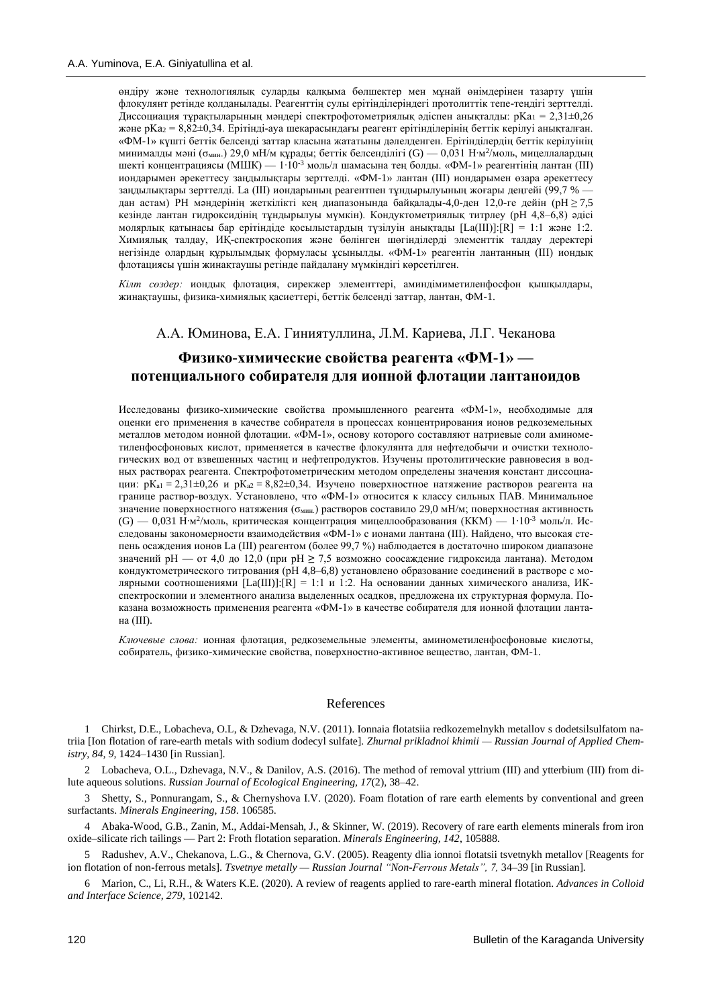өндіру және технологиялық суларды қалқыма бөлшектер мен мұнай өнімдерінен тазарту үшін флокулянт ретінде қолданылады. Реагенттің сулы ерітінділеріндегі протолиттік тепе-теңдігі зерттелді. Диссоциация тұрақтыларының мәндері спектрофотометриялық әдіспен анықталды: р $Ka_1 = 2,31 \pm 0,26$ және pKa<sup>2</sup> = 8,82±0,34. Ерітінді-ауа шекарасындағы реагент ерітінділерінің беттік керілуі анықталған. «ФМ-1» күшті беттік белсенді заттар класына жататыны дәлелденген. Ерітінділердің беттік керілуінің минималды мәні (о $_{\text{MHH}}$ .) 29,0 мН/м құрады; беттік белсенділігі (G) — 0,031 Н∙м<sup>2</sup>/моль, мицеллалардың шекті концентрациясы (МШК) — 1∙10-3 моль/л шамасына тең болды. «ФМ-1» реагентінің лантан (III) иондарымен әрекеттесу заңдылықтары зерттелді. «ФМ-1» лантан (III) иондарымен өзара әрекеттесу заңдылықтары зерттелді. La (III) иондарының реагентпен тұндырылуының жоғары деңгейі (99,7 % дан астам) РН мәндерінің жеткілікті кең диапазонында байқалады-4,0-ден 12,0-ге дейін (рН $\geq$  7,5 кезінде лантан гидроксидінің тұндырылуы мүмкін). Кондуктометриялық титрлеу (рН 4,8–6,8) әдісі молярлық қатынасы бар ерітіндіде қосылыстардың түзілуін анықтады [La(III)]:[R] = 1:1 және 1:2. Химиялық талдау, ИҚ-спектроскопия және бөлінген шөгінділерді элементтік талдау деректері негізінде олардың құрылымдық формуласы ұсынылды. «ФМ-1» реагентін лантанның (III) иондық флотациясы үшін жинақтаушы ретінде пайдалану мүмкіндігі көрсетілген.

*Кілт сөздер:* иондық флотация, сирекжер элементтері, аминдімиметиленфосфон қышқылдары, жинақтаушы, физика-химиялық қасиеттері, беттік белсенді заттар, лантан, ФМ-1.

## А.А. Юминова, Е.А. Гиниятуллина, Л.М. Кариева, Л.Г. Чеканова

# **Физико-химические свойства реагента «ФМ-1» потенциального собирателя для ионной флотации лантаноидов**

Исследованы физико-химические свойства промышленного реагента «ФМ-1», необходимые для оценки его применения в качестве собирателя в процессах концентрирования ионов редкоземельных металлов методом ионной флотации. «ФМ-1», основу которого составляют натриевые соли аминометиленфосфоновых кислот, применяется в качестве флокулянта для нефтедобычи и очистки технологических вод от взвешенных частиц и нефтепродуктов. Изучены протолитические равновесия в водных растворах реагента. Спектрофотометрическим методом определены значения констант диссоциации:  $pK_{a1} = 2,31 \pm 0,26$  и  $pK_{a2} = 8,82 \pm 0,34$ . Изучено поверхностное натяжение растворов реагента на границе раствор-воздух. Установлено, что «ФМ-1» относится к классу сильных ПАВ. Минимальное значение поверхностного натяжения (σмин.) растворов составило 29,0 мН/м; поверхностная активность (G) — 0,031 Н·м<sup>2</sup>/моль, критическая концентрация мицеллообразования (ККМ) — 1⋅10<sup>-3</sup> моль/л. Исследованы закономерности взаимодействия «ФМ-1» с ионами лантана (III). Найдено, что высокая степень осаждения ионов La (III) реагентом (более 99,7 %) наблюдается в достаточно широком диапазоне значений pH — от 4,0 до 12,0 (при рН **≥** 7,5 возможно соосаждение гидроксида лантана). Методом кондуктометрического титрования (рН 4,8–6,8) установлено образование соединений в растворе с молярными соотношениями [La(III)]: $[R] = 1:1$  и 1:2. На основании данных химического анализа, ИКспектроскопии и элементного анализа выделенных осадков, предложена их структурная формула. Показана возможность применения реагента «ФМ-1» в качестве собирателя для ионной флотации лантана (III).

*Ключевые слова:* ионная флотация, редкоземельные элементы, аминометиленфосфоновые кислоты, собиратель, физико-химические свойства, поверхностно-активное вещество, лантан, ФМ-1.

#### References

1 Chirkst, D.E., Lobacheva, O.L, & Dzhevaga, N.V. (2011). Ionnaia flotatsiia redkozemelnykh metallov s dodetsilsulfatom natriia [\[Ion flotation of rare-earth metals with sodium dodecyl sulfate\]](https://elibrary.ru/item.asp?id=18012639). *Zhurnal prikladnoi khimii — [Russian Journal of Applied Chem](https://elibrary.ru/contents.asp?id=33755429)[istry,](https://elibrary.ru/contents.asp?id=33755429) 84, 9,* 1424–1430 [in Russian].

2 Lobacheva, O.L., Dzhevaga, N.V., & Danilov, A.S. (2016). The method of removal yttrium (III) and ytterbium (III) from dilute aqueous solutions. *Russian Journal of Ecological Engineering, 17*(2), 38–42.

3 Shetty, S., Ponnurangam, S., & Chernyshova I.V. (2020). Foam flotation of rare earth elements by conventional and green surfactants. *Minerals Engineering, 158*. 106585.

4 Abaka-Wood, G.B., Zanin, M., Addai-Mensah, J., & Skinner, W. (2019). Recovery of rare earth elements minerals from iron oxide–silicate rich tailings — Part 2: Froth flotation separation. *Minerals Engineering, 142*, 105888.

5 Radushev, A.V., Chekanova, L.G., & Chernova, G.V. (2005). Reagenty dlia ionnoi flotatsii tsvetnykh metallov [Reagents for ion flotation of non-ferrous metals]. *Tsvetnye metally — Russian Journal "Non-Ferrous Metals", 7,* 34–39 [in Russian].

6 Marion, C., Li, R.H., & Waters K.E. (2020). A review of reagents applied to rare-earth mineral flotation. *Advances in Colloid and Interface Science, 279,* 102142.